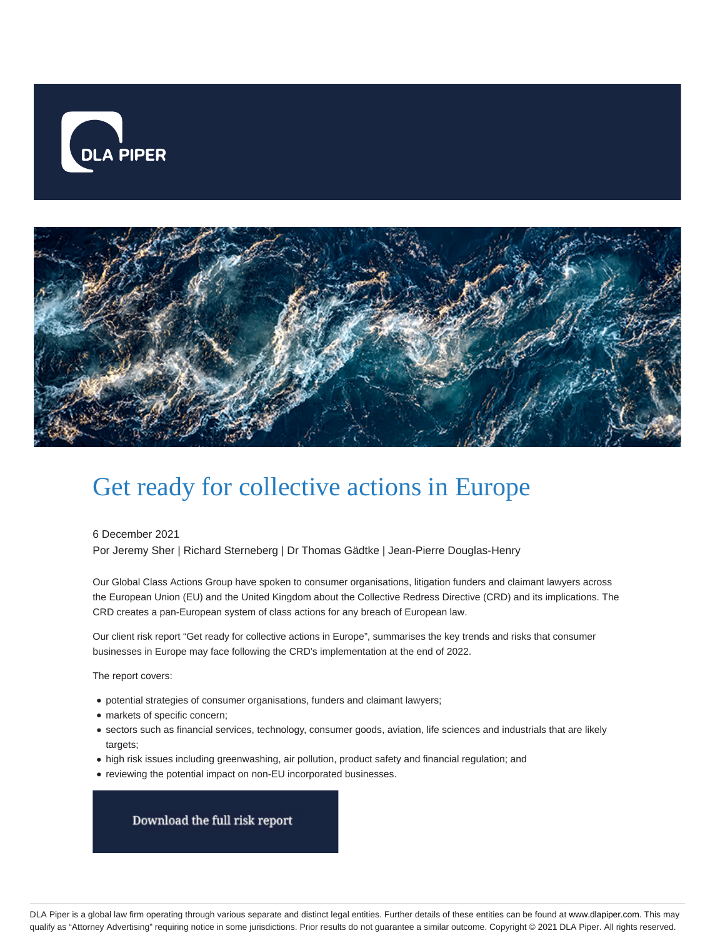



# Get ready for collective actions in Europe

6 December 2021

Por Jeremy Sher | Richard Sterneberg | Dr Thomas Gädtke | Jean-Pierre Douglas-Henry

Our Global Class Actions Group have spoken to consumer organisations, litigation funders and claimant lawyers across the European Union (EU) and the United Kingdom about the Collective Redress Directive (CRD) and its implications. The CRD creates a pan-European system of class actions for any breach of European law.

Our client risk report "Get ready for collective actions in Europe", summarises the key trends and risks that consumer businesses in Europe may face following the CRD's implementation at the end of 2022.

The report covers:

- potential strategies of consumer organisations, funders and claimant lawyers;
- markets of specific concern;
- sectors such as financial services, technology, consumer goods, aviation, life sciences and industrials that are likely targets;
- high risk issues including greenwashing, air pollution, product safety and financial regulation; and
- reviewing the potential impact on non-EU incorporated businesses.

Download the full risk report